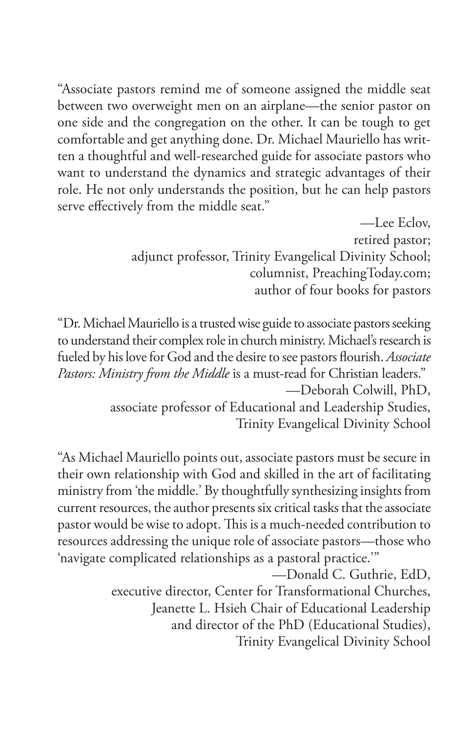"Associate pastors remind me of someone assigned the middle seat between two overweight men on an airplane—the senior pastor on one side and the congregation on the other. It can be tough to get comfortable and get anything done. Dr. Michael Mauriello has written a thoughtful and well-researched guide for associate pastors who want to understand the dynamics and strategic advantages of their role. He not only understands the position, but he can help pastors serve effectively from the middle seat."

> —Lee Eclov, retired pastor; adjunct professor, Trinity Evangelical Divinity School; columnist, PreachingToday.com; author of four books for pastors

"Dr. Michael Mauriello is a trusted wise guide to associate pastors seeking to understand their complex role in church ministry. Michael's research is fueled by his love for God and the desire to see pastors flourish. *Associate Pastors: Ministry from the Middle* is a must-read for Christian leaders." —Deborah Colwill, PhD,

associate professor of Educational and Leadership Studies, Trinity Evangelical Divinity School

"As Michael Mauriello points out, associate pastors must be secure in their own relationship with God and skilled in the art of facilitating ministry from 'the middle.' By thoughtfully synthesizing insights from current resources, the author presents six critical tasks that the associate pastor would be wise to adopt. This is a much-needed contribution to resources addressing the unique role of associate pastors—those who 'navigate complicated relationships as a pastoral practice.'"

> —Donald C. Guthrie, EdD, executive director, Center for Transformational Churches, Jeanette L. Hsieh Chair of Educational Leadership and director of the PhD (Educational Studies), Trinity Evangelical Divinity School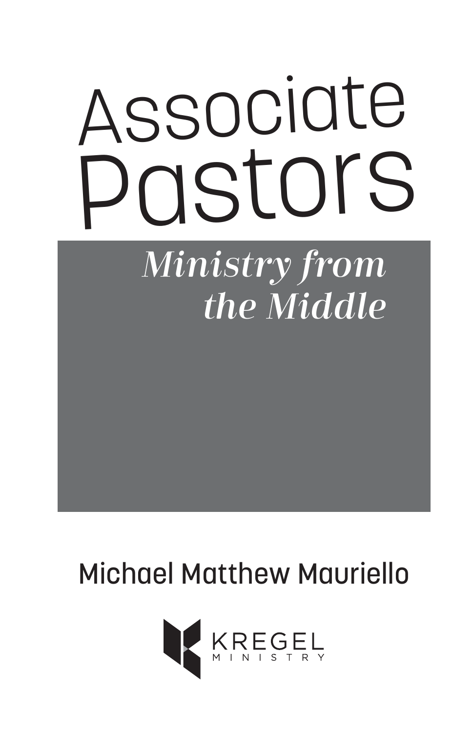# Associate Pastors

### Ministry from the Middle

### Michael Matthew Mauriello

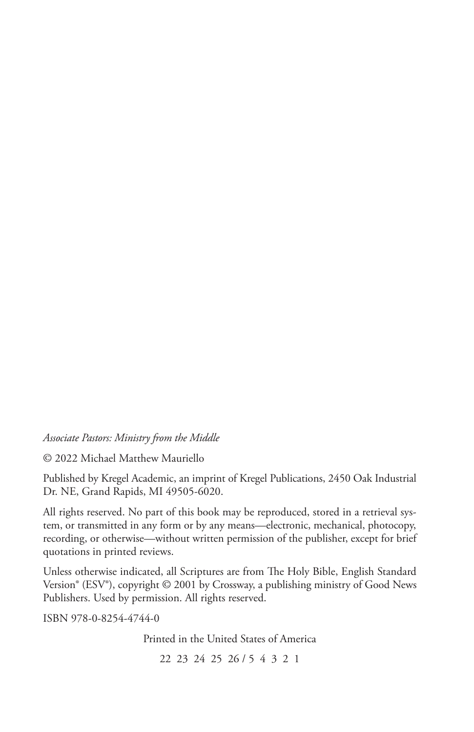*Associate Pastors: Ministry from the Middle*

© 2022 Michael Matthew Mauriello

Published by Kregel Academic, an imprint of Kregel Publications, 2450 Oak Industrial Dr. NE, Grand Rapids, MI 49505-6020.

All rights reserved. No part of this book may be reproduced, stored in a retrieval system, or transmitted in any form or by any means—electronic, mechanical, photocopy, recording, or otherwise—without written permission of the publisher, except for brief quotations in printed reviews.

Unless otherwise indicated, all Scriptures are from The Holy Bible, English Standard Version® (ESV®), copyright © 2001 by Crossway, a publishing ministry of Good News Publishers. Used by permission. All rights reserved.

ISBN 978-0-8254-4744-0

Printed in the United States of America

22 23 24 25 26 / 5 4 3 2 1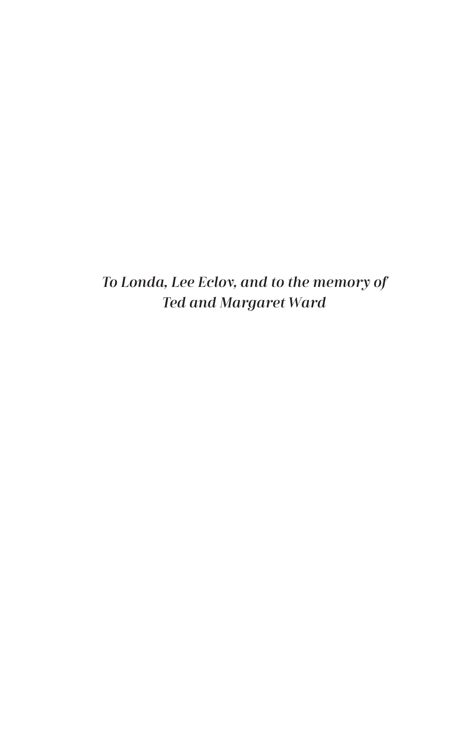To Londa, Lee Eclov, and to the memory of Ted and Margaret Ward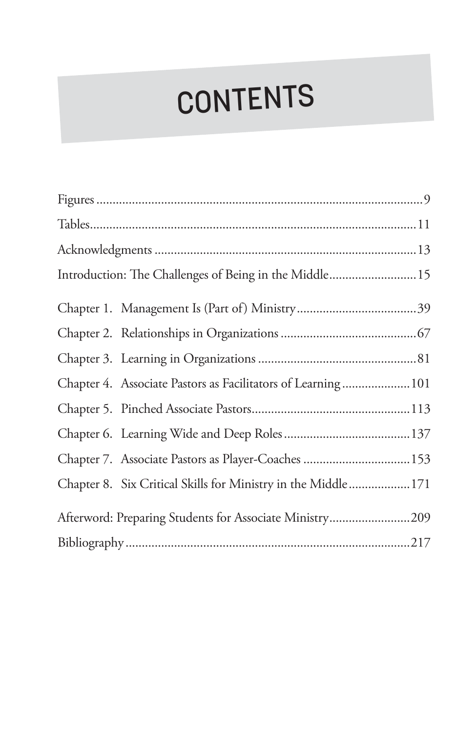## CONTENTS

|  | Introduction: The Challenges of Being in the Middle 15       |  |
|--|--------------------------------------------------------------|--|
|  |                                                              |  |
|  |                                                              |  |
|  |                                                              |  |
|  | Chapter 4. Associate Pastors as Facilitators of Learning101  |  |
|  |                                                              |  |
|  |                                                              |  |
|  | Chapter 7. Associate Pastors as Player-Coaches  153          |  |
|  | Chapter 8. Six Critical Skills for Ministry in the Middle171 |  |
|  | Afterword: Preparing Students for Associate Ministry209      |  |
|  |                                                              |  |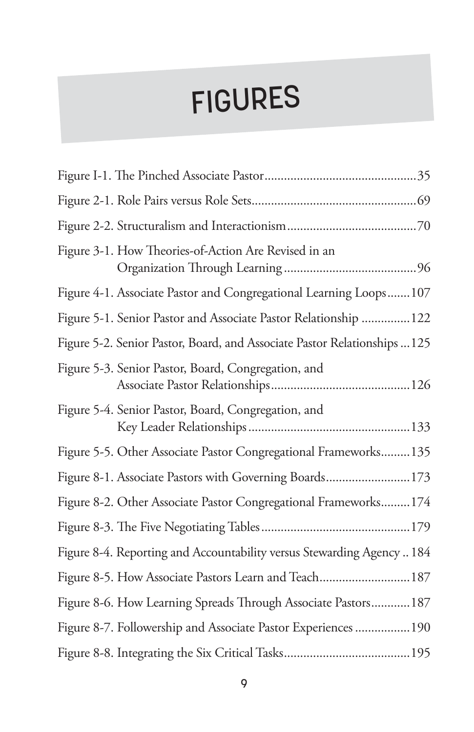### FIGURES

| Figure 3-1. How Theories-of-Action Are Revised in an                      |
|---------------------------------------------------------------------------|
| Figure 4-1. Associate Pastor and Congregational Learning Loops 107        |
| Figure 5-1. Senior Pastor and Associate Pastor Relationship  122          |
| Figure 5-2. Senior Pastor, Board, and Associate Pastor Relationships  125 |
| Figure 5-3. Senior Pastor, Board, Congregation, and                       |
| Figure 5-4. Senior Pastor, Board, Congregation, and                       |
| Figure 5-5. Other Associate Pastor Congregational Frameworks 135          |
| Figure 8-1. Associate Pastors with Governing Boards173                    |
| Figure 8-2. Other Associate Pastor Congregational Frameworks 174          |
|                                                                           |
| Figure 8-4. Reporting and Accountability versus Stewarding Agency 184     |
| Figure 8-5. How Associate Pastors Learn and Teach 187                     |
| Figure 8-6. How Learning Spreads Through Associate Pastors 187            |
| Figure 8-7. Followership and Associate Pastor Experiences  190            |
|                                                                           |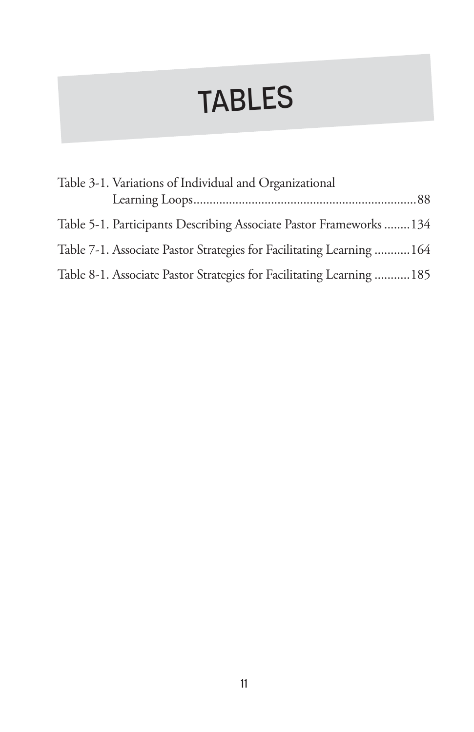### TABLES

| Table 3-1. Variations of Individual and Organizational               |  |
|----------------------------------------------------------------------|--|
|                                                                      |  |
| Table 5-1. Participants Describing Associate Pastor Frameworks  134  |  |
| Table 7-1. Associate Pastor Strategies for Facilitating Learning 164 |  |
| Table 8-1. Associate Pastor Strategies for Facilitating Learning 185 |  |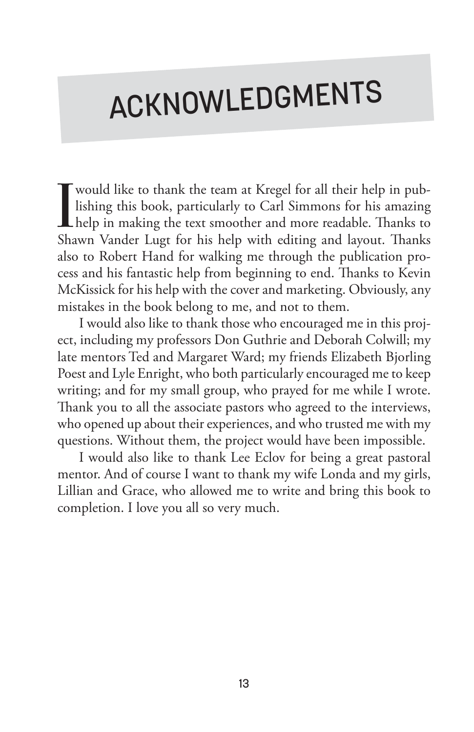# ACKNOWLEDGMENTS

I would like to thank the team at Kregel for all their help in pub-<br>lishing this book, particularly to Carl Simmons for his amazing<br>help in making the text smoother and more readable. Thanks to<br>Shawn Vander Lugt for his he would like to thank the team at Kregel for all their help in publishing this book, particularly to Carl Simmons for his amazing help in making the text smoother and more readable. Thanks to also to Robert Hand for walking me through the publication process and his fantastic help from beginning to end. Thanks to Kevin McKissick for his help with the cover and marketing. Obviously, any mistakes in the book belong to me, and not to them.

I would also like to thank those who encouraged me in this project, including my professors Don Guthrie and Deborah Colwill; my late mentors Ted and Margaret Ward; my friends Elizabeth Bjorling Poest and Lyle Enright, who both particularly encouraged me to keep writing; and for my small group, who prayed for me while I wrote. Thank you to all the associate pastors who agreed to the interviews, who opened up about their experiences, and who trusted me with my questions. Without them, the project would have been impossible.

I would also like to thank Lee Eclov for being a great pastoral mentor. And of course I want to thank my wife Londa and my girls, Lillian and Grace, who allowed me to write and bring this book to completion. I love you all so very much.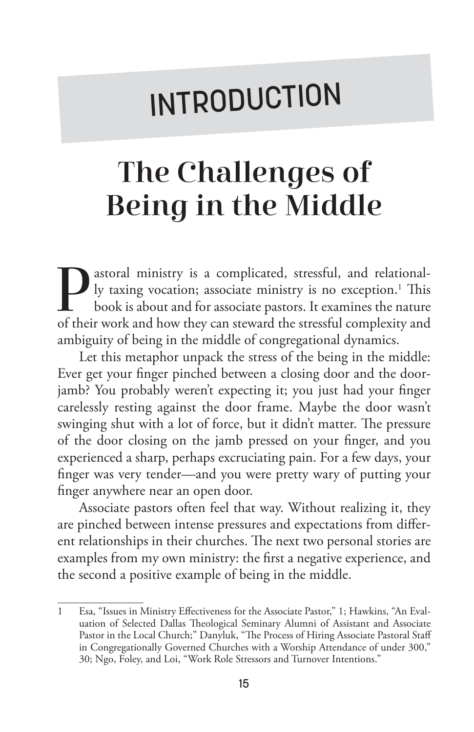### INTRODUCTION

### The Challenges of Being in the Middle

**P**astoral ministry is a complicated, stressful, and relational-<br>ly taxing vocation; associate ministry is no exception.<sup>1</sup> This<br>book is about and for associate pastors. It examines the nature<br>of their work and how they ca ly taxing vocation; associate ministry is no exception.<sup>1</sup> This book is about and for associate pastors. It examines the nature of their work and how they can steward the stressful complexity and ambiguity of being in the middle of congregational dynamics.

Let this metaphor unpack the stress of the being in the middle: Ever get your finger pinched between a closing door and the doorjamb? You probably weren't expecting it; you just had your finger carelessly resting against the door frame. Maybe the door wasn't swinging shut with a lot of force, but it didn't matter. The pressure of the door closing on the jamb pressed on your finger, and you experienced a sharp, perhaps excruciating pain. For a few days, your finger was very tender—and you were pretty wary of putting your finger anywhere near an open door.

Associate pastors often feel that way. Without realizing it, they are pinched between intense pressures and expectations from different relationships in their churches. The next two personal stories are examples from my own ministry: the first a negative experience, and the second a positive example of being in the middle.

<sup>1</sup> Esa, "Issues in Ministry Effectiveness for the Associate Pastor," 1; Hawkins, "An Evaluation of Selected Dallas Theological Seminary Alumni of Assistant and Associate Pastor in the Local Church;" Danyluk, "The Process of Hiring Associate Pastoral Staff in Congregationally Governed Churches with a Worship Attendance of under 300," 30; Ngo, Foley, and Loi, "Work Role Stressors and Turnover Intentions."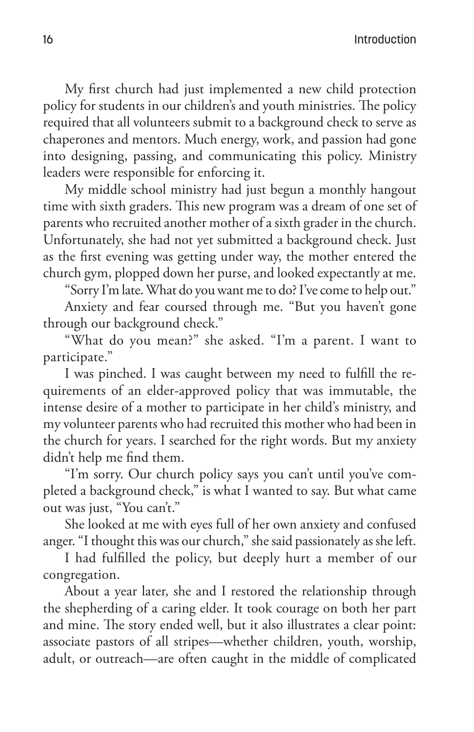My first church had just implemented a new child protection policy for students in our children's and youth ministries. The policy required that all volunteers submit to a background check to serve as chaperones and mentors. Much energy, work, and passion had gone into designing, passing, and communicating this policy. Ministry leaders were responsible for enforcing it.

My middle school ministry had just begun a monthly hangout time with sixth graders. This new program was a dream of one set of parents who recruited another mother of a sixth grader in the church. Unfortunately, she had not yet submitted a background check. Just as the first evening was getting under way, the mother entered the church gym, plopped down her purse, and looked expectantly at me.

"Sorry I'm late. What do you want me to do? I've come to help out."

Anxiety and fear coursed through me. "But you haven't gone through our background check."

"What do you mean?" she asked. "I'm a parent. I want to participate."

I was pinched. I was caught between my need to fulfill the requirements of an elder-approved policy that was immutable, the intense desire of a mother to participate in her child's ministry, and my volunteer parents who had recruited this mother who had been in the church for years. I searched for the right words. But my anxiety didn't help me find them.

"I'm sorry. Our church policy says you can't until you've completed a background check," is what I wanted to say. But what came out was just, "You can't."

She looked at me with eyes full of her own anxiety and confused anger. "I thought this was our church," she said passionately as she left.

I had fulfilled the policy, but deeply hurt a member of our congregation.

About a year later, she and I restored the relationship through the shepherding of a caring elder. It took courage on both her part and mine. The story ended well, but it also illustrates a clear point: associate pastors of all stripes—whether children, youth, worship, adult, or outreach—are often caught in the middle of complicated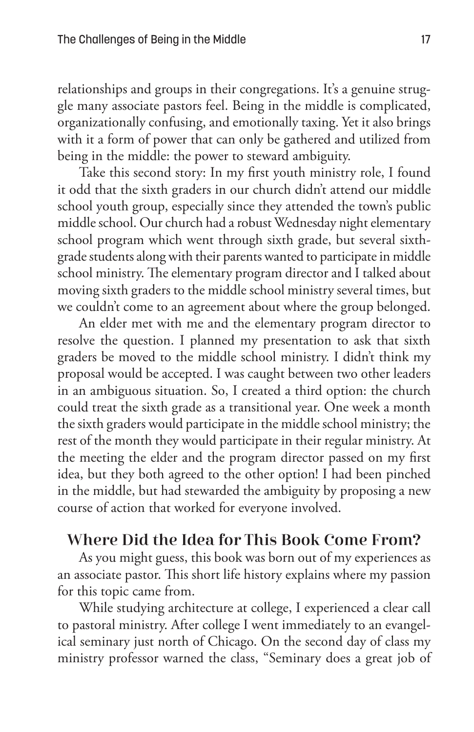relationships and groups in their congregations. It's a genuine struggle many associate pastors feel. Being in the middle is complicated, organizationally confusing, and emotionally taxing. Yet it also brings with it a form of power that can only be gathered and utilized from being in the middle: the power to steward ambiguity.

Take this second story: In my first youth ministry role, I found it odd that the sixth graders in our church didn't attend our middle school youth group, especially since they attended the town's public middle school. Our church had a robust Wednesday night elementary school program which went through sixth grade, but several sixthgrade students along with their parents wanted to participate in middle school ministry. The elementary program director and I talked about moving sixth graders to the middle school ministry several times, but we couldn't come to an agreement about where the group belonged.

An elder met with me and the elementary program director to resolve the question. I planned my presentation to ask that sixth graders be moved to the middle school ministry. I didn't think my proposal would be accepted. I was caught between two other leaders in an ambiguous situation. So, I created a third option: the church could treat the sixth grade as a transitional year. One week a month the sixth graders would participate in the middle school ministry; the rest of the month they would participate in their regular ministry. At the meeting the elder and the program director passed on my first idea, but they both agreed to the other option! I had been pinched in the middle, but had stewarded the ambiguity by proposing a new course of action that worked for everyone involved.

#### Where Did the Idea for This Book Come From?

As you might guess, this book was born out of my experiences as an associate pastor. This short life history explains where my passion for this topic came from.

While studying architecture at college, I experienced a clear call to pastoral ministry. After college I went immediately to an evangelical seminary just north of Chicago. On the second day of class my ministry professor warned the class, "Seminary does a great job of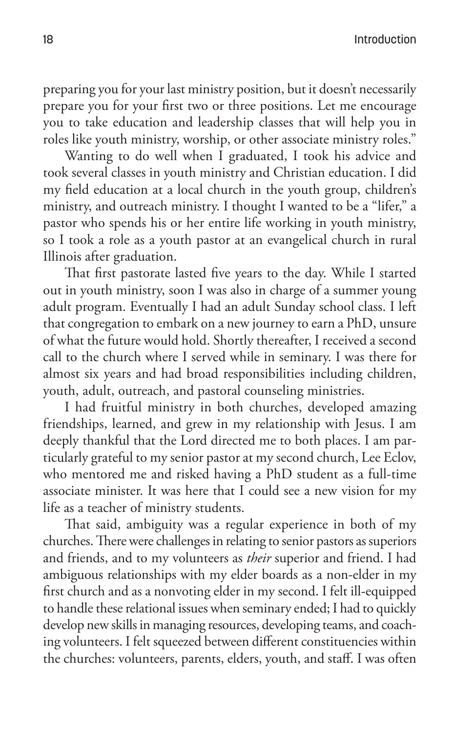preparing you for your last ministry position, but it doesn't necessarily prepare you for your first two or three positions. Let me encourage you to take education and leadership classes that will help you in roles like youth ministry, worship, or other associate ministry roles."

Wanting to do well when I graduated, I took his advice and took several classes in youth ministry and Christian education. I did my field education at a local church in the youth group, children's ministry, and outreach ministry. I thought I wanted to be a "lifer," a pastor who spends his or her entire life working in youth ministry, so I took a role as a youth pastor at an evangelical church in rural Illinois after graduation.

That first pastorate lasted five years to the day. While I started out in youth ministry, soon I was also in charge of a summer young adult program. Eventually I had an adult Sunday school class. I left that congregation to embark on a new journey to earn a PhD, unsure of what the future would hold. Shortly thereafter, I received a second call to the church where I served while in seminary. I was there for almost six years and had broad responsibilities including children, youth, adult, outreach, and pastoral counseling ministries.

I had fruitful ministry in both churches, developed amazing friendships, learned, and grew in my relationship with Jesus. I am deeply thankful that the Lord directed me to both places. I am particularly grateful to my senior pastor at my second church, Lee Eclov, who mentored me and risked having a PhD student as a full-time associate minister. It was here that I could see a new vision for my life as a teacher of ministry students.

That said, ambiguity was a regular experience in both of my churches. There were challenges in relating to senior pastors as superiors and friends, and to my volunteers as *their* superior and friend. I had ambiguous relationships with my elder boards as a non-elder in my first church and as a nonvoting elder in my second. I felt ill-equipped to handle these relational issues when seminary ended; I had to quickly develop new skills in managing resources, developing teams, and coaching volunteers. I felt squeezed between different constituencies within the churches: volunteers, parents, elders, youth, and staff. I was often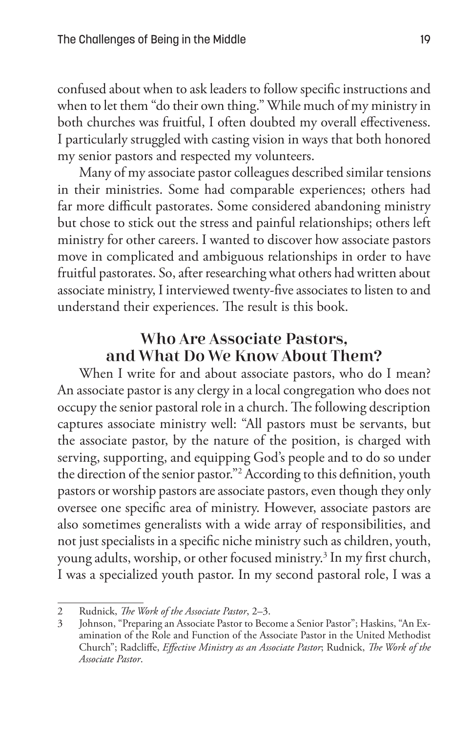confused about when to ask leaders to follow specific instructions and when to let them "do their own thing." While much of my ministry in both churches was fruitful, I often doubted my overall effectiveness. I particularly struggled with casting vision in ways that both honored my senior pastors and respected my volunteers.

Many of my associate pastor colleagues described similar tensions in their ministries. Some had comparable experiences; others had far more difficult pastorates. Some considered abandoning ministry but chose to stick out the stress and painful relationships; others left ministry for other careers. I wanted to discover how associate pastors move in complicated and ambiguous relationships in order to have fruitful pastorates. So, after researching what others had written about associate ministry, I interviewed twenty-five associates to listen to and understand their experiences. The result is this book.

#### Who Are Associate Pastors, and What Do We Know About Them?

When I write for and about associate pastors, who do I mean? An associate pastor is any clergy in a local congregation who does not occupy the senior pastoral role in a church. The following description captures associate ministry well: "All pastors must be servants, but the associate pastor, by the nature of the position, is charged with serving, supporting, and equipping God's people and to do so under the direction of the senior pastor."2 According to this definition, youth pastors or worship pastors are associate pastors, even though they only oversee one specific area of ministry. However, associate pastors are also sometimes generalists with a wide array of responsibilities, and not just specialists in a specific niche ministry such as children, youth, young adults, worship, or other focused ministry.3 In my first church, I was a specialized youth pastor. In my second pastoral role, I was a

<sup>2</sup> Rudnick, *The Work of the Associate Pastor*, 2–3.

<sup>3</sup> Johnson, "Preparing an Associate Pastor to Become a Senior Pastor"; Haskins, "An Examination of the Role and Function of the Associate Pastor in the United Methodist Church"; Radcliffe, *Effective Ministry as an Associate Pastor*; Rudnick, *The Work of the Associate Pastor*.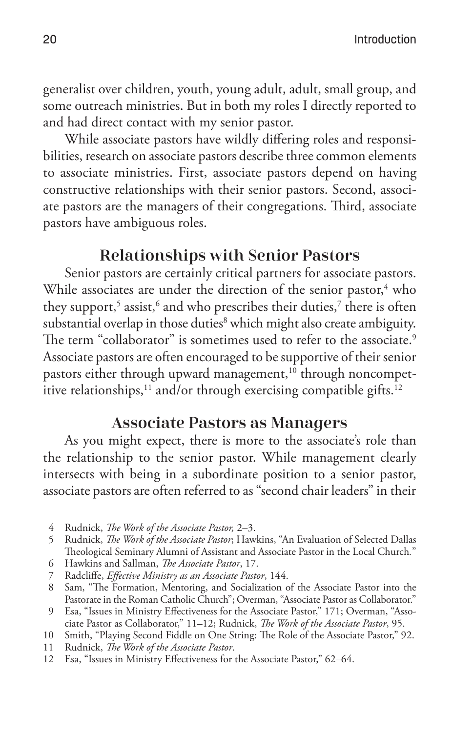generalist over children, youth, young adult, adult, small group, and some outreach ministries. But in both my roles I directly reported to and had direct contact with my senior pastor.

While associate pastors have wildly differing roles and responsibilities, research on associate pastors describe three common elements to associate ministries. First, associate pastors depend on having constructive relationships with their senior pastors. Second, associate pastors are the managers of their congregations. Third, associate pastors have ambiguous roles.

#### Relationships with Senior Pastors

Senior pastors are certainly critical partners for associate pastors. While associates are under the direction of the senior pastor, $4$  who they support,<sup>5</sup> assist,<sup>6</sup> and who prescribes their duties,<sup>7</sup> there is often substantial overlap in those duties<sup>8</sup> which might also create ambiguity. The term "collaborator" is sometimes used to refer to the associate.<sup>9</sup> Associate pastors are often encouraged to be supportive of their senior pastors either through upward management,<sup>10</sup> through noncompetitive relationships,<sup>11</sup> and/or through exercising compatible gifts.<sup>12</sup>

#### Associate Pastors as Managers

As you might expect, there is more to the associate's role than the relationship to the senior pastor. While management clearly intersects with being in a subordinate position to a senior pastor, associate pastors are often referred to as "second chair leaders" in their

<sup>4</sup> Rudnick, *The Work of the Associate Pastor,* 2–3.

<sup>5</sup> Rudnick, *The Work of the Associate Pastor*; Hawkins, "An Evaluation of Selected Dallas Theological Seminary Alumni of Assistant and Associate Pastor in the Local Church*.*"

<sup>6</sup> Hawkins and Sallman, *The Associate Pastor*, 17.

<sup>7</sup> Radcliffe, *Effective Ministry as an Associate Pastor*, 144.

<sup>8</sup> Sam, "The Formation, Mentoring, and Socialization of the Associate Pastor into the Pastorate in the Roman Catholic Church"; Overman, "Associate Pastor as Collaborator."

<sup>9</sup> Esa, "Issues in Ministry Effectiveness for the Associate Pastor," 171; Overman, "Associate Pastor as Collaborator," 11–12; Rudnick, *The Work of the Associate Pastor*, 95.

<sup>10</sup> Smith, "Playing Second Fiddle on One String: The Role of the Associate Pastor," 92.<br>11 Rudnick, *The Work of the Associate Pastor*.

<sup>11</sup> Rudnick, *The Work of the Associate Pastor*.

<sup>12</sup> Esa, "Issues in Ministry Effectiveness for the Associate Pastor," 62–64.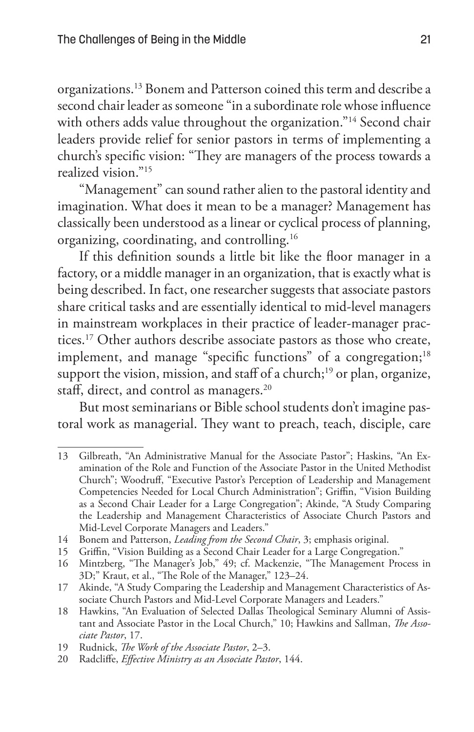organizations.13 Bonem and Patterson coined this term and describe a second chair leader as someone "in a subordinate role whose influence with others adds value throughout the organization."<sup>14</sup> Second chair leaders provide relief for senior pastors in terms of implementing a church's specific vision: "They are managers of the process towards a realized vision."15

"Management" can sound rather alien to the pastoral identity and imagination. What does it mean to be a manager? Management has classically been understood as a linear or cyclical process of planning, organizing, coordinating, and controlling.16

If this definition sounds a little bit like the floor manager in a factory, or a middle manager in an organization, that is exactly what is being described. In fact, one researcher suggests that associate pastors share critical tasks and are essentially identical to mid-level managers in mainstream workplaces in their practice of leader-manager practices.17 Other authors describe associate pastors as those who create, implement, and manage "specific functions" of a congregation;<sup>18</sup> support the vision, mission, and staff of a church;<sup>19</sup> or plan, organize, staff, direct, and control as managers.<sup>20</sup>

But most seminarians or Bible school students don't imagine pastoral work as managerial. They want to preach, teach, disciple, care

<sup>13</sup> Gilbreath, "An Administrative Manual for the Associate Pastor"; Haskins, "An Examination of the Role and Function of the Associate Pastor in the United Methodist Church"; Woodruff, "Executive Pastor's Perception of Leadership and Management Competencies Needed for Local Church Administration"; Griffin, "Vision Building as a Second Chair Leader for a Large Congregation"; Akinde, "A Study Comparing the Leadership and Management Characteristics of Associate Church Pastors and Mid-Level Corporate Managers and Leaders."

<sup>14</sup> Bonem and Patterson, *Leading from the Second Chair*, 3; emphasis original.

<sup>15</sup> Griffin, "Vision Building as a Second Chair Leader for a Large Congregation."

<sup>16</sup> Mintzberg, "The Manager's Job," 49; cf. Mackenzie, "The Management Process in 3D;" Kraut, et al., "The Role of the Manager," 123–24.

<sup>17</sup> Akinde, "A Study Comparing the Leadership and Management Characteristics of Associate Church Pastors and Mid-Level Corporate Managers and Leaders."

<sup>18</sup> Hawkins, "An Evaluation of Selected Dallas Theological Seminary Alumni of Assistant and Associate Pastor in the Local Church," 10; Hawkins and Sallman, *The Associate Pastor*, 17.

<sup>19</sup> Rudnick, *The Work of the Associate Pastor*, 2–3.

<sup>20</sup> Radcliffe, *Effective Ministry as an Associate Pastor*, 144.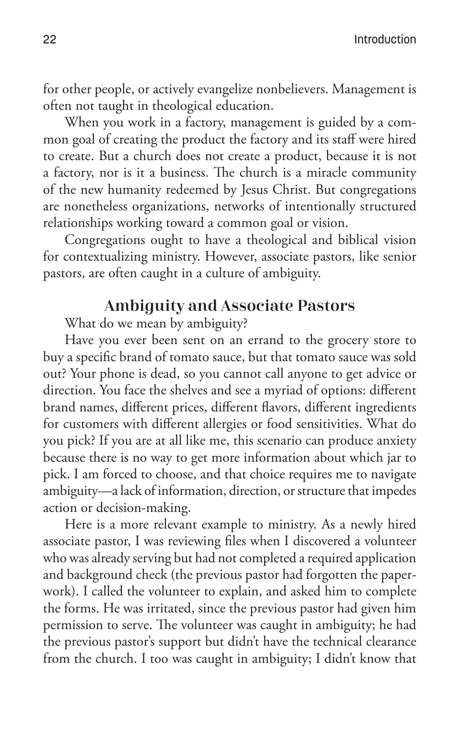for other people, or actively evangelize nonbelievers. Management is often not taught in theological education.

When you work in a factory, management is guided by a common goal of creating the product the factory and its staff were hired to create. But a church does not create a product, because it is not a factory, nor is it a business. The church is a miracle community of the new humanity redeemed by Jesus Christ. But congregations are nonetheless organizations, networks of intentionally structured relationships working toward a common goal or vision.

Congregations ought to have a theological and biblical vision for contextualizing ministry. However, associate pastors, like senior pastors, are often caught in a culture of ambiguity.

#### Ambiguity and Associate Pastors

What do we mean by ambiguity?

Have you ever been sent on an errand to the grocery store to buy a specific brand of tomato sauce, but that tomato sauce was sold out? Your phone is dead, so you cannot call anyone to get advice or direction. You face the shelves and see a myriad of options: different brand names, different prices, different flavors, different ingredients for customers with different allergies or food sensitivities. What do you pick? If you are at all like me, this scenario can produce anxiety because there is no way to get more information about which jar to pick. I am forced to choose, and that choice requires me to navigate ambiguity—a lack of information, direction, or structure that impedes action or decision-making.

Here is a more relevant example to ministry. As a newly hired associate pastor, I was reviewing files when I discovered a volunteer who was already serving but had not completed a required application and background check (the previous pastor had forgotten the paperwork). I called the volunteer to explain, and asked him to complete the forms. He was irritated, since the previous pastor had given him permission to serve. The volunteer was caught in ambiguity; he had the previous pastor's support but didn't have the technical clearance from the church. I too was caught in ambiguity; I didn't know that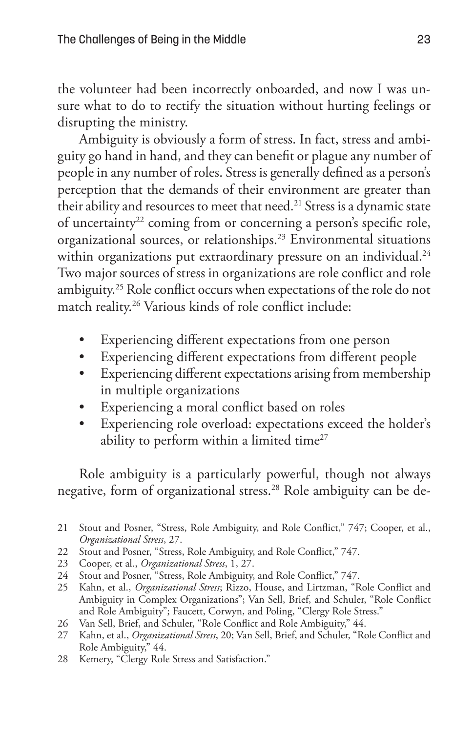the volunteer had been incorrectly onboarded, and now I was unsure what to do to rectify the situation without hurting feelings or disrupting the ministry.

Ambiguity is obviously a form of stress. In fact, stress and ambiguity go hand in hand, and they can benefit or plague any number of people in any number of roles. Stress is generally defined as a person's perception that the demands of their environment are greater than their ability and resources to meet that need.<sup>21</sup> Stress is a dynamic state of uncertainty<sup>22</sup> coming from or concerning a person's specific role, organizational sources, or relationships.23 Environmental situations within organizations put extraordinary pressure on an individual.<sup>24</sup> Two major sources of stress in organizations are role conflict and role ambiguity.25 Role conflict occurs when expectations of the role do not match reality.26 Various kinds of role conflict include:

- Experiencing different expectations from one person
- Experiencing different expectations from different people
- Experiencing different expectations arising from membership in multiple organizations
- Experiencing a moral conflict based on roles
- Experiencing role overload: expectations exceed the holder's ability to perform within a limited time $27$

Role ambiguity is a particularly powerful, though not always negative, form of organizational stress.<sup>28</sup> Role ambiguity can be de-

<sup>21</sup> Stout and Posner, "Stress, Role Ambiguity, and Role Conflict," 747; Cooper, et al., *Organizational Stress*, 27.

<sup>22</sup> Stout and Posner, "Stress, Role Ambiguity, and Role Conflict," 747.

<sup>23</sup> Cooper, et al., *Organizational Stress*, 1, 27.

<sup>24</sup> Stout and Posner, "Stress, Role Ambiguity, and Role Conflict," 747.

<sup>25</sup> Kahn, et al., *Organizational Stress*; Rizzo, House, and Lirtzman, "Role Conflict and Ambiguity in Complex Organizations"; Van Sell, Brief, and Schuler, "Role Conflict and Role Ambiguity"; Faucett, Corwyn, and Poling, "Clergy Role Stress."

<sup>26</sup> Van Sell, Brief, and Schuler, "Role Conflict and Role Ambiguity," 44.

<sup>27</sup> Kahn, et al., *Organizational Stress*, 20; Van Sell, Brief, and Schuler, "Role Conflict and Role Ambiguity," 44.

<sup>28</sup> Kemery, "Clergy Role Stress and Satisfaction."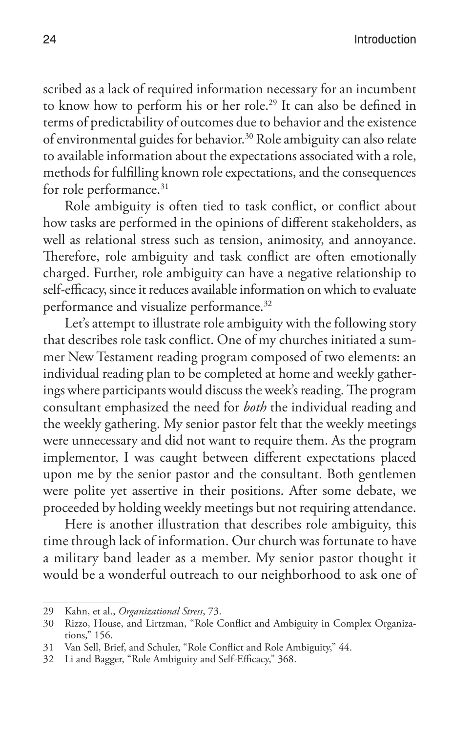scribed as a lack of required information necessary for an incumbent to know how to perform his or her role.<sup>29</sup> It can also be defined in terms of predictability of outcomes due to behavior and the existence of environmental guides for behavior.<sup>30</sup> Role ambiguity can also relate to available information about the expectations associated with a role, methods for fulfilling known role expectations, and the consequences for role performance.<sup>31</sup>

Role ambiguity is often tied to task conflict, or conflict about how tasks are performed in the opinions of different stakeholders, as well as relational stress such as tension, animosity, and annoyance. Therefore, role ambiguity and task conflict are often emotionally charged. Further, role ambiguity can have a negative relationship to self-efficacy, since it reduces available information on which to evaluate performance and visualize performance.32

Let's attempt to illustrate role ambiguity with the following story that describes role task conflict. One of my churches initiated a summer New Testament reading program composed of two elements: an individual reading plan to be completed at home and weekly gatherings where participants would discuss the week's reading. The program consultant emphasized the need for *both* the individual reading and the weekly gathering. My senior pastor felt that the weekly meetings were unnecessary and did not want to require them. As the program implementor, I was caught between different expectations placed upon me by the senior pastor and the consultant. Both gentlemen were polite yet assertive in their positions. After some debate, we proceeded by holding weekly meetings but not requiring attendance.

Here is another illustration that describes role ambiguity, this time through lack of information. Our church was fortunate to have a military band leader as a member. My senior pastor thought it would be a wonderful outreach to our neighborhood to ask one of

<sup>29</sup> Kahn, et al., *Organizational Stress*, 73.

<sup>30</sup> Rizzo, House, and Lirtzman, "Role Conflict and Ambiguity in Complex Organizations," 156.

<sup>31</sup> Van Sell, Brief, and Schuler, "Role Conflict and Role Ambiguity," 44.

<sup>32</sup> Li and Bagger, "Role Ambiguity and Self-Efficacy," 368.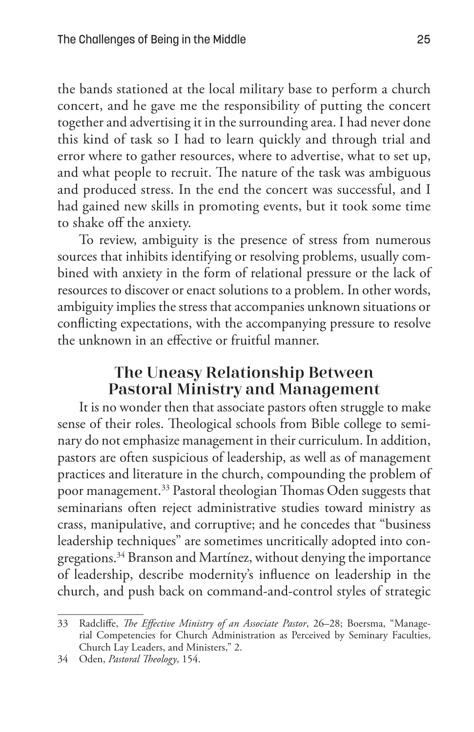the bands stationed at the local military base to perform a church concert, and he gave me the responsibility of putting the concert together and advertising it in the surrounding area. I had never done this kind of task so I had to learn quickly and through trial and error where to gather resources, where to advertise, what to set up, and what people to recruit. The nature of the task was ambiguous and produced stress. In the end the concert was successful, and I had gained new skills in promoting events, but it took some time to shake off the anxiety.

To review, ambiguity is the presence of stress from numerous sources that inhibits identifying or resolving problems, usually combined with anxiety in the form of relational pressure or the lack of resources to discover or enact solutions to a problem. In other words, ambiguity implies the stress that accompanies unknown situations or conflicting expectations, with the accompanying pressure to resolve the unknown in an effective or fruitful manner.

#### The Uneasy Relationship Between Pastoral Ministry and Management

It is no wonder then that associate pastors often struggle to make sense of their roles. Theological schools from Bible college to seminary do not emphasize management in their curriculum. In addition, pastors are often suspicious of leadership, as well as of management practices and literature in the church, compounding the problem of poor management.33 Pastoral theologian Thomas Oden suggests that seminarians often reject administrative studies toward ministry as crass, manipulative, and corruptive; and he concedes that "business leadership techniques" are sometimes uncritically adopted into congregations.<sup>34</sup> Branson and Martínez, without denying the importance of leadership, describe modernity's influence on leadership in the church, and push back on command-and-control styles of strategic

<sup>33</sup> Radcliffe, *The Effective Ministry of an Associate Pastor*, 26–28; Boersma, "Managerial Competencies for Church Administration as Perceived by Seminary Faculties, Church Lay Leaders, and Ministers," 2.

<sup>34</sup> Oden, *Pastoral Theology*, 154.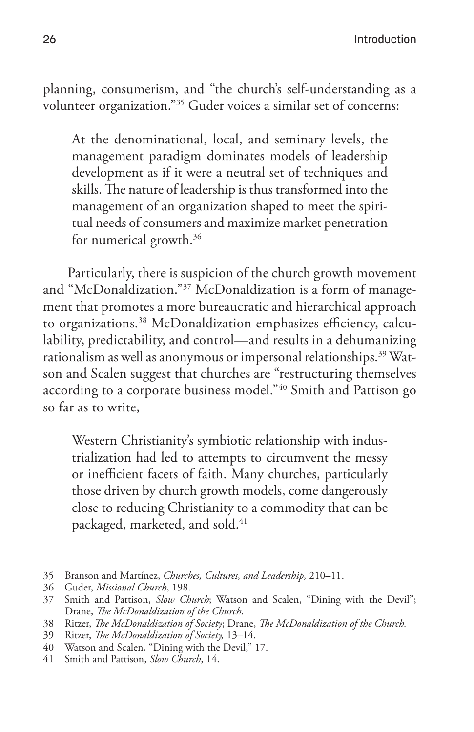planning, consumerism, and "the church's self-understanding as a volunteer organization."35 Guder voices a similar set of concerns:

At the denominational, local, and seminary levels, the management paradigm dominates models of leadership development as if it were a neutral set of techniques and skills. The nature of leadership is thus transformed into the management of an organization shaped to meet the spiritual needs of consumers and maximize market penetration for numerical growth.36

 Particularly, there is suspicion of the church growth movement and "McDonaldization."37 McDonaldization is a form of management that promotes a more bureaucratic and hierarchical approach to organizations.38 McDonaldization emphasizes efficiency, calculability, predictability, and control—and results in a dehumanizing rationalism as well as anonymous or impersonal relationships.<sup>39</sup> Watson and Scalen suggest that churches are "restructuring themselves according to a corporate business model."40 Smith and Pattison go so far as to write,

Western Christianity's symbiotic relationship with industrialization had led to attempts to circumvent the messy or inefficient facets of faith. Many churches, particularly those driven by church growth models, come dangerously close to reducing Christianity to a commodity that can be packaged, marketed, and sold.<sup>41</sup>

<sup>35</sup> Branson and Martínez, *Churches, Cultures, and Leadership,* 210–11.

<sup>36</sup> Guder, *Missional Church*, 198.

<sup>37</sup> Smith and Pattison, *Slow Church*; Watson and Scalen, "Dining with the Devil"; Drane, *The McDonaldization of the Church.*

<sup>38</sup> Ritzer, *The McDonaldization of Society*; Drane, *The McDonaldization of the Church.*

<sup>39</sup> Ritzer, *The McDonaldization of Society,* 13–14.

<sup>40</sup> Watson and Scalen, "Dining with the Devil," 17.

<sup>41</sup> Smith and Pattison, *Slow Church*, 14.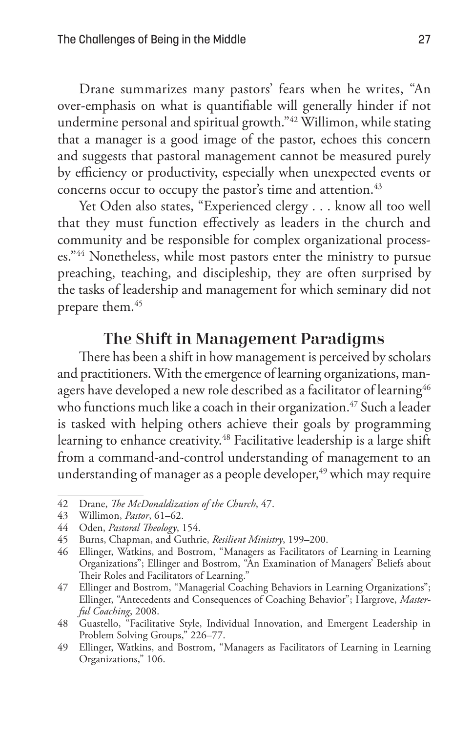Drane summarizes many pastors' fears when he writes, "An over-emphasis on what is quantifiable will generally hinder if not undermine personal and spiritual growth."42 Willimon, while stating that a manager is a good image of the pastor, echoes this concern and suggests that pastoral management cannot be measured purely by efficiency or productivity, especially when unexpected events or concerns occur to occupy the pastor's time and attention.<sup>43</sup>

Yet Oden also states, "Experienced clergy . . . know all too well that they must function effectively as leaders in the church and community and be responsible for complex organizational processes."44 Nonetheless, while most pastors enter the ministry to pursue preaching, teaching, and discipleship, they are often surprised by the tasks of leadership and management for which seminary did not prepare them.45

#### The Shift in Management Paradigms

There has been a shift in how management is perceived by scholars and practitioners. With the emergence of learning organizations, managers have developed a new role described as a facilitator of learning<sup>46</sup> who functions much like a coach in their organization.<sup>47</sup> Such a leader is tasked with helping others achieve their goals by programming learning to enhance creativity.<sup>48</sup> Facilitative leadership is a large shift from a command-and-control understanding of management to an understanding of manager as a people developer,<sup>49</sup> which may require

<sup>42</sup> Drane, *The McDonaldization of the Church*, 47.

<sup>43</sup> Willimon, *Pastor*, 61–62.

<sup>44</sup> Oden, *Pastoral Theology*, 154.

<sup>45</sup> Burns, Chapman, and Guthrie, *Resilient Ministry*, 199–200.

<sup>46</sup> Ellinger, Watkins, and Bostrom, "Managers as Facilitators of Learning in Learning Organizations"; Ellinger and Bostrom, "An Examination of Managers' Beliefs about Their Roles and Facilitators of Learning."

<sup>47</sup> Ellinger and Bostrom, "Managerial Coaching Behaviors in Learning Organizations"; Ellinger, "Antecedents and Consequences of Coaching Behavior"; Hargrove, *Masterful Coaching*, 2008.

<sup>48</sup> Guastello, "Facilitative Style, Individual Innovation, and Emergent Leadership in Problem Solving Groups," 226–77.

<sup>49</sup> Ellinger, Watkins, and Bostrom, "Managers as Facilitators of Learning in Learning Organizations," 106.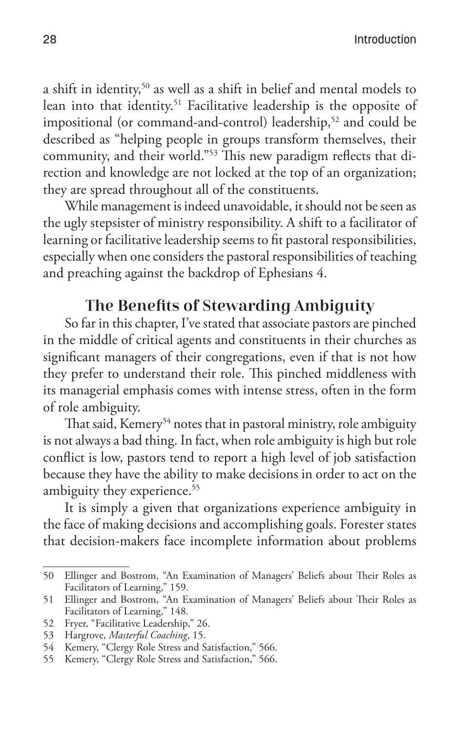a shift in identity,<sup>50</sup> as well as a shift in belief and mental models to lean into that identity.51 Facilitative leadership is the opposite of impositional (or command-and-control) leadership,<sup>52</sup> and could be described as "helping people in groups transform themselves, their community, and their world."53 This new paradigm reflects that direction and knowledge are not locked at the top of an organization; they are spread throughout all of the constituents.

While management is indeed unavoidable, it should not be seen as the ugly stepsister of ministry responsibility. A shift to a facilitator of learning or facilitative leadership seems to fit pastoral responsibilities, especially when one considers the pastoral responsibilities of teaching and preaching against the backdrop of Ephesians 4.

#### The Benefits of Stewarding Ambiguity

So far in this chapter, I've stated that associate pastors are pinched in the middle of critical agents and constituents in their churches as significant managers of their congregations, even if that is not how they prefer to understand their role. This pinched middleness with its managerial emphasis comes with intense stress, often in the form of role ambiguity.

That said, Kemery<sup>54</sup> notes that in pastoral ministry, role ambiguity is not always a bad thing. In fact, when role ambiguity is high but role conflict is low, pastors tend to report a high level of job satisfaction because they have the ability to make decisions in order to act on the ambiguity they experience.<sup>55</sup>

It is simply a given that organizations experience ambiguity in the face of making decisions and accomplishing goals. Forester states that decision-makers face incomplete information about problems

<sup>50</sup> Ellinger and Bostrom, "An Examination of Managers' Beliefs about Their Roles as Facilitators of Learning," 159.

<sup>51</sup> Ellinger and Bostrom, "An Examination of Managers' Beliefs about Their Roles as Facilitators of Learning," 148.

<sup>52</sup> Fryer, "Facilitative Leadership," 26.

<sup>53</sup> Hargrove, *Masterful Coaching*, 15.

<sup>54</sup> Kemery, "Clergy Role Stress and Satisfaction," 566.

<sup>55</sup> Kemery, "Clergy Role Stress and Satisfaction," 566.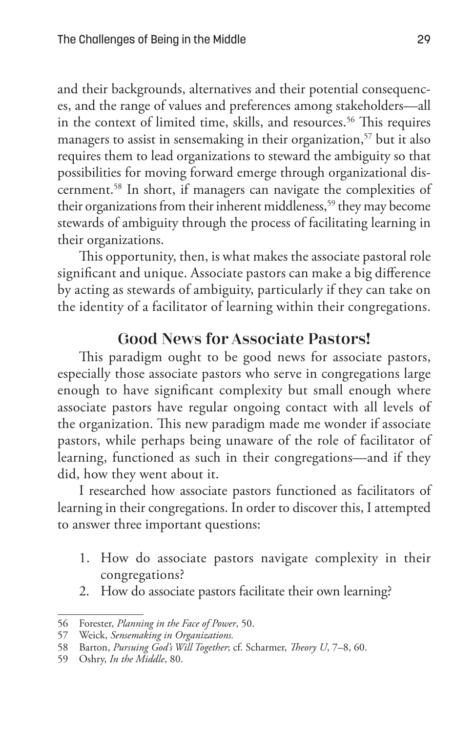and their backgrounds, alternatives and their potential consequences, and the range of values and preferences among stakeholders—all in the context of limited time, skills, and resources.<sup>56</sup> This requires managers to assist in sensemaking in their organization,<sup>57</sup> but it also requires them to lead organizations to steward the ambiguity so that possibilities for moving forward emerge through organizational discernment.58 In short, if managers can navigate the complexities of their organizations from their inherent middleness,<sup>59</sup> they may become stewards of ambiguity through the process of facilitating learning in their organizations.

This opportunity, then, is what makes the associate pastoral role significant and unique. Associate pastors can make a big difference by acting as stewards of ambiguity, particularly if they can take on the identity of a facilitator of learning within their congregations.

#### Good News for Associate Pastors!

This paradigm ought to be good news for associate pastors, especially those associate pastors who serve in congregations large enough to have significant complexity but small enough where associate pastors have regular ongoing contact with all levels of the organization. This new paradigm made me wonder if associate pastors, while perhaps being unaware of the role of facilitator of learning, functioned as such in their congregations—and if they did, how they went about it.

I researched how associate pastors functioned as facilitators of learning in their congregations. In order to discover this, I attempted to answer three important questions:

- 1. How do associate pastors navigate complexity in their congregations?
- 2. How do associate pastors facilitate their own learning?

<sup>56</sup> Forester, *Planning in the Face of Power*, 50.

<sup>57</sup> Weick, *Sensemaking in Organizations.*

<sup>58</sup> Barton, *Pursuing God's Will Together*; cf. Scharmer, *Theory U*, 7–8, 60.

<sup>59</sup> Oshry, *In the Middle*, 80.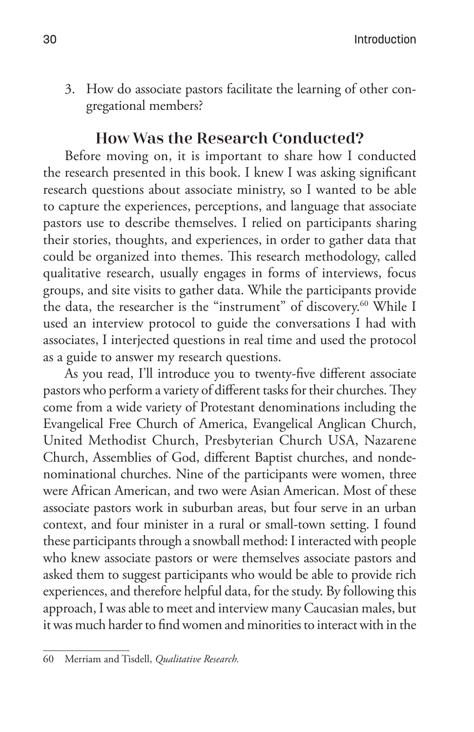3. How do associate pastors facilitate the learning of other congregational members?

#### How Was the Research Conducted?

Before moving on, it is important to share how I conducted the research presented in this book. I knew I was asking significant research questions about associate ministry, so I wanted to be able to capture the experiences, perceptions, and language that associate pastors use to describe themselves. I relied on participants sharing their stories, thoughts, and experiences, in order to gather data that could be organized into themes. This research methodology, called qualitative research, usually engages in forms of interviews, focus groups, and site visits to gather data. While the participants provide the data, the researcher is the "instrument" of discovery.<sup>60</sup> While I used an interview protocol to guide the conversations I had with associates, I interjected questions in real time and used the protocol as a guide to answer my research questions.

As you read, I'll introduce you to twenty-five different associate pastors who perform a variety of different tasks for their churches. They come from a wide variety of Protestant denominations including the Evangelical Free Church of America, Evangelical Anglican Church, United Methodist Church, Presbyterian Church USA, Nazarene Church, Assemblies of God, different Baptist churches, and nondenominational churches. Nine of the participants were women, three were African American, and two were Asian American. Most of these associate pastors work in suburban areas, but four serve in an urban context, and four minister in a rural or small-town setting. I found these participants through a snowball method: I interacted with people who knew associate pastors or were themselves associate pastors and asked them to suggest participants who would be able to provide rich experiences, and therefore helpful data, for the study. By following this approach, I was able to meet and interview many Caucasian males, but it was much harder to find women and minorities to interact with in the

<sup>60</sup> Merriam and Tisdell, *Qualitative Research.*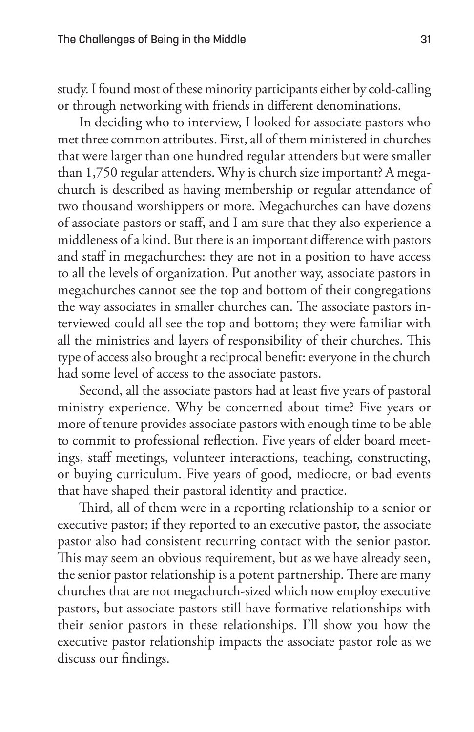study. I found most of these minority participants either by cold-calling or through networking with friends in different denominations.

In deciding who to interview, I looked for associate pastors who met three common attributes. First, all of them ministered in churches that were larger than one hundred regular attenders but were smaller than 1,750 regular attenders. Why is church size important? A megachurch is described as having membership or regular attendance of two thousand worshippers or more. Megachurches can have dozens of associate pastors or staff, and I am sure that they also experience a middleness of a kind. But there is an important difference with pastors and staff in megachurches: they are not in a position to have access to all the levels of organization. Put another way, associate pastors in megachurches cannot see the top and bottom of their congregations the way associates in smaller churches can. The associate pastors interviewed could all see the top and bottom; they were familiar with all the ministries and layers of responsibility of their churches. This type of access also brought a reciprocal benefit: everyone in the church had some level of access to the associate pastors.

Second, all the associate pastors had at least five years of pastoral ministry experience. Why be concerned about time? Five years or more of tenure provides associate pastors with enough time to be able to commit to professional reflection. Five years of elder board meetings, staff meetings, volunteer interactions, teaching, constructing, or buying curriculum. Five years of good, mediocre, or bad events that have shaped their pastoral identity and practice.

Third, all of them were in a reporting relationship to a senior or executive pastor; if they reported to an executive pastor, the associate pastor also had consistent recurring contact with the senior pastor. This may seem an obvious requirement, but as we have already seen, the senior pastor relationship is a potent partnership. There are many churches that are not megachurch-sized which now employ executive pastors, but associate pastors still have formative relationships with their senior pastors in these relationships. I'll show you how the executive pastor relationship impacts the associate pastor role as we discuss our findings.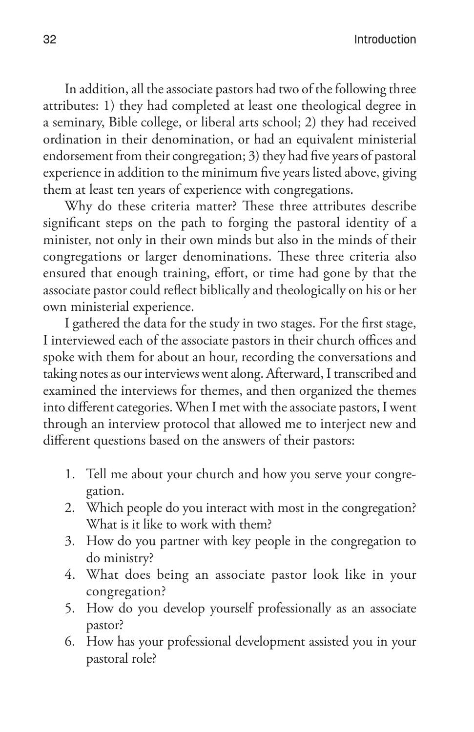In addition, all the associate pastors had two of the following three attributes: 1) they had completed at least one theological degree in a seminary, Bible college, or liberal arts school; 2) they had received ordination in their denomination, or had an equivalent ministerial endorsement from their congregation; 3) they had five years of pastoral experience in addition to the minimum five years listed above, giving them at least ten years of experience with congregations.

Why do these criteria matter? These three attributes describe significant steps on the path to forging the pastoral identity of a minister, not only in their own minds but also in the minds of their congregations or larger denominations. These three criteria also ensured that enough training, effort, or time had gone by that the associate pastor could reflect biblically and theologically on his or her own ministerial experience.

I gathered the data for the study in two stages. For the first stage, I interviewed each of the associate pastors in their church offices and spoke with them for about an hour, recording the conversations and taking notes as our interviews went along. Afterward, I transcribed and examined the interviews for themes, and then organized the themes into different categories. When I met with the associate pastors, I went through an interview protocol that allowed me to interject new and different questions based on the answers of their pastors:

- 1. Tell me about your church and how you serve your congregation.
- 2. Which people do you interact with most in the congregation? What is it like to work with them?
- 3. How do you partner with key people in the congregation to do ministry?
- 4. What does being an associate pastor look like in your congregation?
- 5. How do you develop yourself professionally as an associate pastor?
- 6. How has your professional development assisted you in your pastoral role?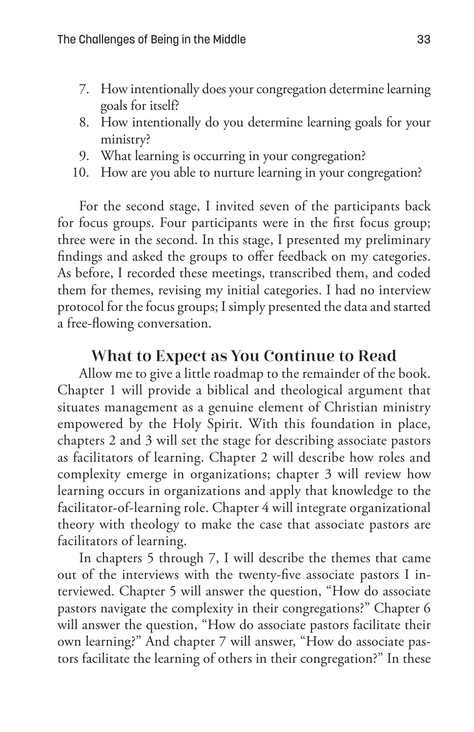- 7. How intentionally does your congregation determine learning goals for itself?
- 8. How intentionally do you determine learning goals for your ministry?
- 9. What learning is occurring in your congregation?
- 10. How are you able to nurture learning in your congregation?

For the second stage, I invited seven of the participants back for focus groups. Four participants were in the first focus group; three were in the second. In this stage, I presented my preliminary findings and asked the groups to offer feedback on my categories. As before, I recorded these meetings, transcribed them, and coded them for themes, revising my initial categories. I had no interview protocol for the focus groups; I simply presented the data and started a free-flowing conversation.

#### What to Expect as You Continue to Read

Allow me to give a little roadmap to the remainder of the book. Chapter 1 will provide a biblical and theological argument that situates management as a genuine element of Christian ministry empowered by the Holy Spirit. With this foundation in place, chapters 2 and 3 will set the stage for describing associate pastors as facilitators of learning. Chapter 2 will describe how roles and complexity emerge in organizations; chapter 3 will review how learning occurs in organizations and apply that knowledge to the facilitator-of-learning role. Chapter 4 will integrate organizational theory with theology to make the case that associate pastors are facilitators of learning.

In chapters 5 through 7, I will describe the themes that came out of the interviews with the twenty-five associate pastors I interviewed. Chapter 5 will answer the question, "How do associate pastors navigate the complexity in their congregations?" Chapter 6 will answer the question, "How do associate pastors facilitate their own learning?" And chapter 7 will answer, "How do associate pastors facilitate the learning of others in their congregation?" In these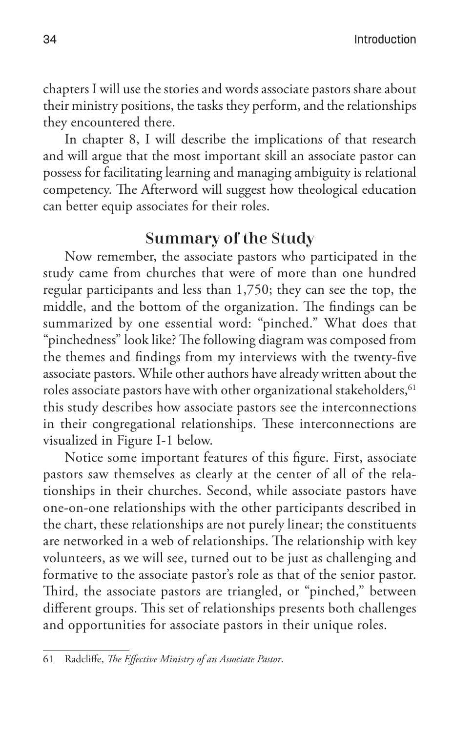chapters I will use the stories and words associate pastors share about their ministry positions, the tasks they perform, and the relationships they encountered there.

In chapter 8, I will describe the implications of that research and will argue that the most important skill an associate pastor can possess for facilitating learning and managing ambiguity is relational competency. The Afterword will suggest how theological education can better equip associates for their roles.

#### Summary of the Study

Now remember, the associate pastors who participated in the study came from churches that were of more than one hundred regular participants and less than 1,750; they can see the top, the middle, and the bottom of the organization. The findings can be summarized by one essential word: "pinched." What does that "pinchedness" look like? The following diagram was composed from the themes and findings from my interviews with the twenty-five associate pastors. While other authors have already written about the roles associate pastors have with other organizational stakeholders,  $61$ this study describes how associate pastors see the interconnections in their congregational relationships. These interconnections are visualized in Figure I-1 below.

Notice some important features of this figure. First, associate pastors saw themselves as clearly at the center of all of the relationships in their churches. Second, while associate pastors have one-on-one relationships with the other participants described in the chart, these relationships are not purely linear; the constituents are networked in a web of relationships. The relationship with key volunteers, as we will see, turned out to be just as challenging and formative to the associate pastor's role as that of the senior pastor. Third, the associate pastors are triangled, or "pinched," between different groups. This set of relationships presents both challenges and opportunities for associate pastors in their unique roles.

<sup>61</sup> Radcliffe, *The Effective Ministry of an Associate Pastor*.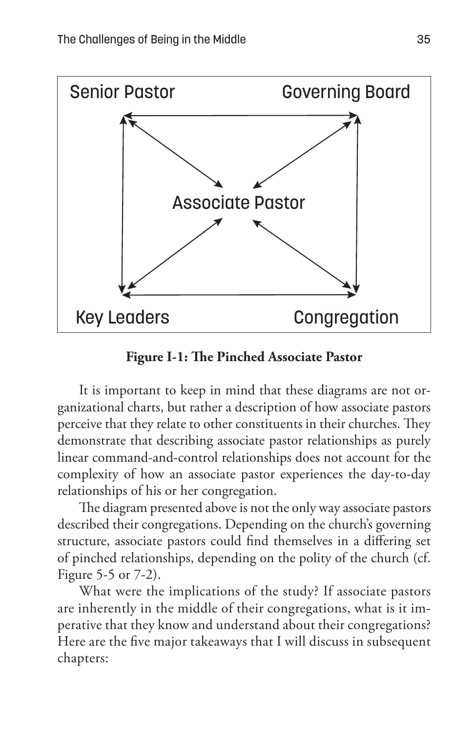

**Figure I-1: The Pinched Associate Pastor**

It is important to keep in mind that these diagrams are not organizational charts, but rather a description of how associate pastors perceive that they relate to other constituents in their churches. They demonstrate that describing associate pastor relationships as purely linear command-and-control relationships does not account for the complexity of how an associate pastor experiences the day-to-day relationships of his or her congregation.

The diagram presented above is not the only way associate pastors described their congregations. Depending on the church's governing structure, associate pastors could find themselves in a differing set of pinched relationships, depending on the polity of the church (cf. Figure 5-5 or 7-2).

What were the implications of the study? If associate pastors are inherently in the middle of their congregations, what is it imperative that they know and understand about their congregations? Here are the five major takeaways that I will discuss in subsequent chapters: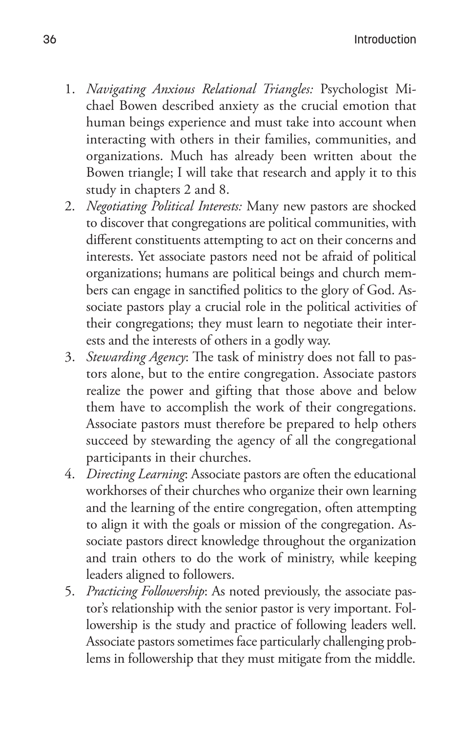- 1. *Navigating Anxious Relational Triangles:* Psychologist Michael Bowen described anxiety as the crucial emotion that human beings experience and must take into account when interacting with others in their families, communities, and organizations. Much has already been written about the Bowen triangle; I will take that research and apply it to this study in chapters 2 and 8.
- 2. *Negotiating Political Interests:* Many new pastors are shocked to discover that congregations are political communities, with different constituents attempting to act on their concerns and interests. Yet associate pastors need not be afraid of political organizations; humans are political beings and church members can engage in sanctified politics to the glory of God. Associate pastors play a crucial role in the political activities of their congregations; they must learn to negotiate their interests and the interests of others in a godly way.
- 3. *Stewarding Agency*: The task of ministry does not fall to pastors alone, but to the entire congregation. Associate pastors realize the power and gifting that those above and below them have to accomplish the work of their congregations. Associate pastors must therefore be prepared to help others succeed by stewarding the agency of all the congregational participants in their churches.
- 4. *Directing Learning*: Associate pastors are often the educational workhorses of their churches who organize their own learning and the learning of the entire congregation, often attempting to align it with the goals or mission of the congregation. Associate pastors direct knowledge throughout the organization and train others to do the work of ministry, while keeping leaders aligned to followers.
- 5. *Practicing Followership*: As noted previously, the associate pastor's relationship with the senior pastor is very important. Followership is the study and practice of following leaders well. Associate pastors sometimes face particularly challenging problems in followership that they must mitigate from the middle.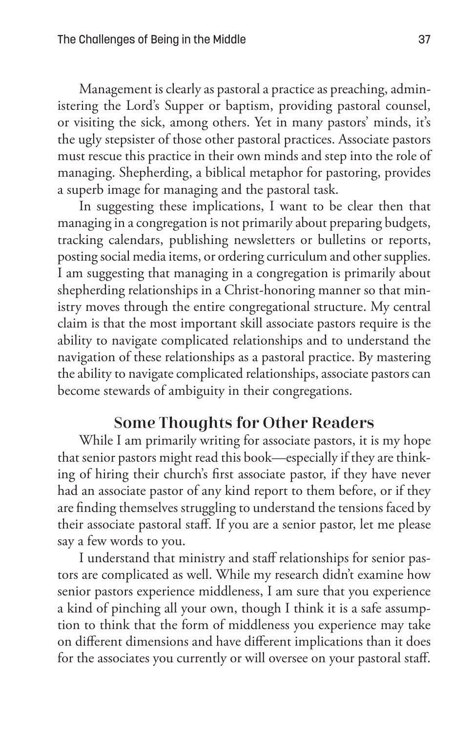Management is clearly as pastoral a practice as preaching, administering the Lord's Supper or baptism, providing pastoral counsel, or visiting the sick, among others. Yet in many pastors' minds, it's the ugly stepsister of those other pastoral practices. Associate pastors must rescue this practice in their own minds and step into the role of managing. Shepherding, a biblical metaphor for pastoring, provides a superb image for managing and the pastoral task.

In suggesting these implications, I want to be clear then that managing in a congregation is not primarily about preparing budgets, tracking calendars, publishing newsletters or bulletins or reports, posting social media items, or ordering curriculum and other supplies. I am suggesting that managing in a congregation is primarily about shepherding relationships in a Christ-honoring manner so that ministry moves through the entire congregational structure. My central claim is that the most important skill associate pastors require is the ability to navigate complicated relationships and to understand the navigation of these relationships as a pastoral practice. By mastering the ability to navigate complicated relationships, associate pastors can become stewards of ambiguity in their congregations.

#### Some Thoughts for Other Readers

While I am primarily writing for associate pastors, it is my hope that senior pastors might read this book—especially if they are thinking of hiring their church's first associate pastor, if they have never had an associate pastor of any kind report to them before, or if they are finding themselves struggling to understand the tensions faced by their associate pastoral staff. If you are a senior pastor, let me please say a few words to you.

I understand that ministry and staff relationships for senior pastors are complicated as well. While my research didn't examine how senior pastors experience middleness, I am sure that you experience a kind of pinching all your own, though I think it is a safe assumption to think that the form of middleness you experience may take on different dimensions and have different implications than it does for the associates you currently or will oversee on your pastoral staff.